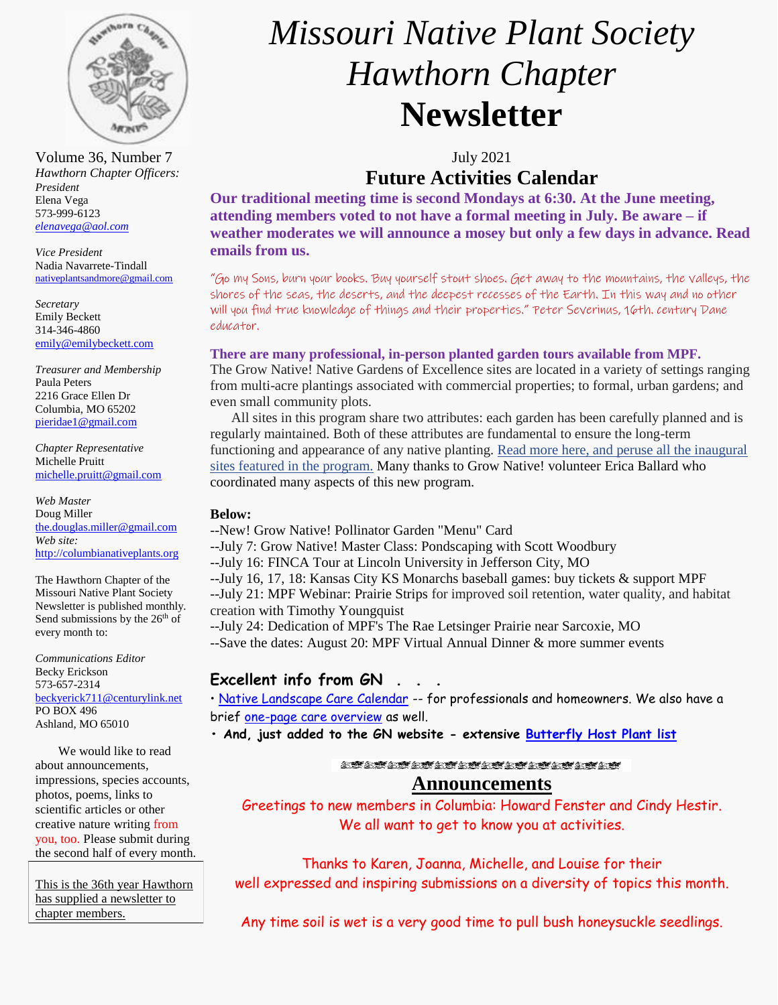

Volume 36, Number 7 July 2021 *Hawthorn Chapter Officers: President* Elena Vega 573-999-6123 *[elenavega@aol.com](mailto:elenavega@aol.com)*

*Vice President* Nadia Navarrete-Tindall [nativeplantsandmore@gmail.com](mailto:nativeplantsandmore@gmail.com)

*Secretary* Emily Beckett 314-346-4860 [emily@emilybeckett.com](mailto:emily@emilybeckett.com)

*Treasurer and Membership* Paula Peters 2216 Grace Ellen Dr Columbia, MO 65202 [pieridae1@gmail.com](mailto:pieridae1@gmail.com)

*Chapter Representative*  Michelle Pruitt [michelle.pruitt@gmail.com](mailto:michelle.pruitt@gmail.com)

*Web Master* Doug Miller [the.douglas.miller@gmail.com](mailto:the.douglas.miller@gmail.com) *Web site:* [http://columbianativeplants.org](http://columbianativeplants.org/)

The Hawthorn Chapter of the Missouri Native Plant Society Newsletter is published monthly. Send submissions by the 26<sup>th</sup> of every month to:

*Communications Editor* Becky Erickson 573-657-2314 [beckyerick711@centurylink.net](mailto:beckyerick711@centurylink.net) PO BOX 496 Ashland, MO 65010

We would like to read about announcements, impressions, species accounts, photos, poems, links to scientific articles or other creative nature writing from you, too. Please submit during the second half of every month.

This is the 36th year Hawthorn has supplied a newsletter to chapter members.

# *Missouri Native Plant Society Hawthorn Chapter* **Newsletter**

## **Future Activities Calendar**

**Our traditional meeting time is second Mondays at 6:30. At the June meeting, attending members voted to not have a formal meeting in July. Be aware – if weather moderates we will announce a mosey but only a few days in advance. Read emails from us.**

"Go my Sons, burn your books. Buy yourself stout shoes. Get away to the mountains, the valleys, the shores of the seas, the deserts, and the deepest recesses of the Earth. In this way and no other will you find true knowledge of things and their properties." Peter Severinus, 16th. century Dane educator.

#### **There are many professional, in-person planted garden tours available from MPF.**

The Grow Native! Native Gardens of Excellence sites are located in a variety of settings ranging from multi-acre plantings associated with commercial properties; to formal, urban gardens; and even small community plots.

 All sites in this program share two attributes: each garden has been carefully planned and is regularly maintained. Both of these attributes are fundamental to ensure the long-term functioning and appearance of any native planting. [Read more here, and peruse all the inaugural](https://r20.rs6.net/tn.jsp?f=001MZGCz7cfcjjcL7cTqumcSdg8EPdOVl7eW6ylph2iVvaYts8dc7GCudvXIuafa9xnUVArn8Tf7SOFCona4fAH3hLVWSSBElXEpRy3a4PaDfVdN6zZPFXPpG4wmL_iMJNTShShuk9vhQOEtTDLHYw5XJuemYaT6Dw3pC0N1OT1g2oRThockDDBO8OOCPFehbEw&c=VIv9a8yFSXiz2cbambFJi9os00NNjYEwdRP_8bbVxL2uf8T_Mu2ipw==&ch=ejdFKavzVEMrIC1HS3hjrJqndcBmggGFhemKpzYTciYJTmvudtMUVg==)  [sites featured in the program.](https://r20.rs6.net/tn.jsp?f=001MZGCz7cfcjjcL7cTqumcSdg8EPdOVl7eW6ylph2iVvaYts8dc7GCudvXIuafa9xnUVArn8Tf7SOFCona4fAH3hLVWSSBElXEpRy3a4PaDfVdN6zZPFXPpG4wmL_iMJNTShShuk9vhQOEtTDLHYw5XJuemYaT6Dw3pC0N1OT1g2oRThockDDBO8OOCPFehbEw&c=VIv9a8yFSXiz2cbambFJi9os00NNjYEwdRP_8bbVxL2uf8T_Mu2ipw==&ch=ejdFKavzVEMrIC1HS3hjrJqndcBmggGFhemKpzYTciYJTmvudtMUVg==) Many thanks to Grow Native! volunteer Erica Ballard who coordinated many aspects of this new program.

#### **Below:**

- --New! Grow Native! Pollinator Garden "Menu" Card
- --July 7: Grow Native! Master Class: Pondscaping with Scott Woodbury
- --July 16: FINCA Tour at Lincoln University in Jefferson City, MO
- --July 16, 17, 18: Kansas City KS Monarchs baseball games: buy tickets & support MPF

--July 21: MPF Webinar: Prairie Strips for improved soil retention, water quality, and habitat creation with Timothy Youngquist

--July 24: Dedication of MPF's The Rae Letsinger Prairie near Sarcoxie, MO

--Save the dates: August 20: MPF Virtual Annual Dinner & more summer events

## **Excellent info from GN**

• [Native Landscape Care Calendar](https://grownative.org/learn/native-landscape-care-calendar/) -- for professionals and homeowners. We also have a brief [one-page care overview](https://drive.google.com/file/d/1qTzmImXxIQcmsawwZ_iyCM08y2lE-Nl9/view) as well.

**• And, just added to the GN website - extensive [Butterfly Host Plant list](https://drive.google.com/file/d/18rIfDgS22Dbx_kYybW16-ypqIiAUbxd-/view)**

**START START STATE STATE STATE** 

## **Announcements**

Greetings to new members in Columbia: Howard Fenster and Cindy Hestir. We all want to get to know you at activities.

Thanks to Karen, Joanna, Michelle, and Louise for their well expressed and inspiring submissions on a diversity of topics this month.

Any time soil is wet is a very good time to pull bush honeysuckle seedlings.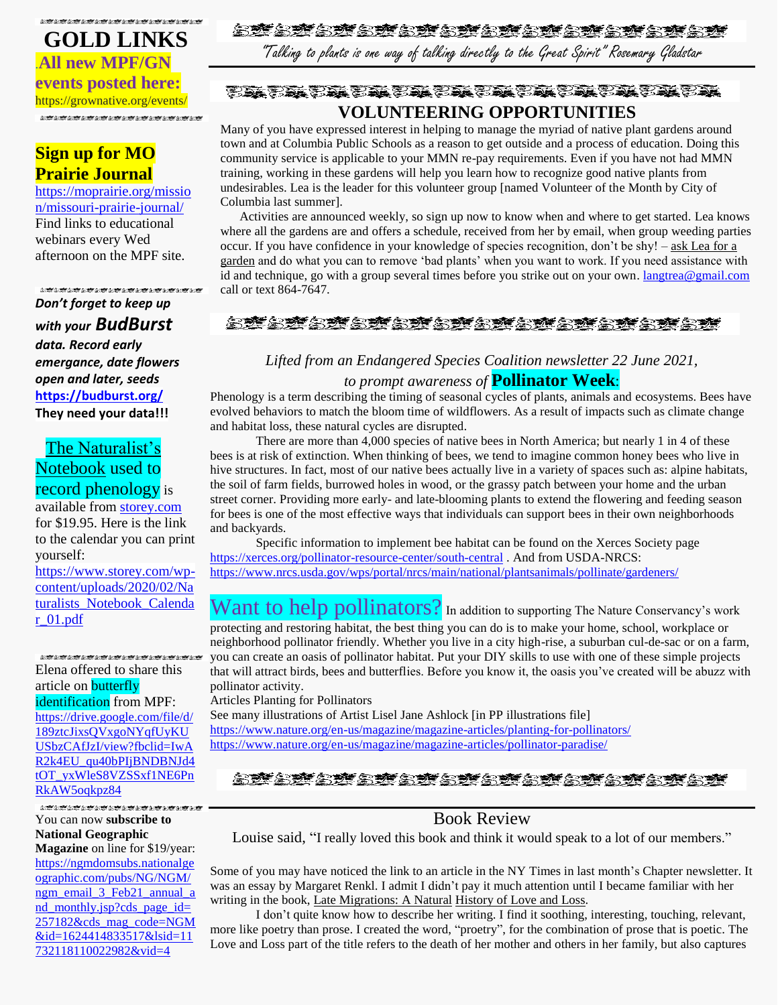## **たがよがよがよがよがよがとがとがよがよがながながらが**

## **GOLD LINKS** .**All new MPF/GN events posted here:** https://grownative.org/events/

## **Sign up for MO Prairie Journal**

[https://moprairie.org/missio](https://moprairie.org/mission/missouri-prairie-journal/) [n/missouri-prairie-journal/](https://moprairie.org/mission/missouri-prairie-journal/) Find links to educational webinars every Wed afternoon on the MPF site.

3. 安全旅游 2.2012年10月10日 2.2012年10月10日 *Don't forget to keep up with your BudBurst data. Record early emergance, date flowers open and later, seeds* **<https://budburst.org/> They need your data!!!**

## The Naturalist's Notebook used to record phenology is

available from [storey.com](http://storey.com/) for \$19.95. Here is the link to the calendar you can print yourself:

[https://www.storey.com/wp](https://www.storey.com/wp-content/uploads/2020/02/Naturalists_Notebook_Calendar_01.pdf)[content/uploads/2020/02/Na](https://www.storey.com/wp-content/uploads/2020/02/Naturalists_Notebook_Calendar_01.pdf) [turalists\\_Notebook\\_Calenda](https://www.storey.com/wp-content/uploads/2020/02/Naturalists_Notebook_Calendar_01.pdf) [r\\_01.pdf](https://www.storey.com/wp-content/uploads/2020/02/Naturalists_Notebook_Calendar_01.pdf)

#### **LUBLER LUBLER LUBLER LUBLER LUBLER** Elena offered to share this article on **butterfly**

identification from MPF: [https://drive.google.com/file/d/](https://drive.google.com/file/d/189ztcJixsQVxgoNYqfUyKUUSbzCAfJzI/view?fbclid=IwAR2k4EU_qu40bPIjBNDBNJd4tOT_yxWleS8VZSSxf1NE6PnRkAW5oqkpz84) [189ztcJixsQVxgoNYqfUyKU](https://drive.google.com/file/d/189ztcJixsQVxgoNYqfUyKUUSbzCAfJzI/view?fbclid=IwAR2k4EU_qu40bPIjBNDBNJd4tOT_yxWleS8VZSSxf1NE6PnRkAW5oqkpz84) [USbzCAfJzI/view?fbclid=IwA](https://drive.google.com/file/d/189ztcJixsQVxgoNYqfUyKUUSbzCAfJzI/view?fbclid=IwAR2k4EU_qu40bPIjBNDBNJd4tOT_yxWleS8VZSSxf1NE6PnRkAW5oqkpz84) [R2k4EU\\_qu40bPIjBNDBNJd4](https://drive.google.com/file/d/189ztcJixsQVxgoNYqfUyKUUSbzCAfJzI/view?fbclid=IwAR2k4EU_qu40bPIjBNDBNJd4tOT_yxWleS8VZSSxf1NE6PnRkAW5oqkpz84) [tOT\\_yxWleS8VZSSxf1NE6Pn](https://drive.google.com/file/d/189ztcJixsQVxgoNYqfUyKUUSbzCAfJzI/view?fbclid=IwAR2k4EU_qu40bPIjBNDBNJd4tOT_yxWleS8VZSSxf1NE6PnRkAW5oqkpz84) [RkAW5oqkpz84](https://drive.google.com/file/d/189ztcJixsQVxgoNYqfUyKUUSbzCAfJzI/view?fbclid=IwAR2k4EU_qu40bPIjBNDBNJd4tOT_yxWleS8VZSSxf1NE6PnRkAW5oqkpz84)

You can now **subscribe to National Geographic** 

**Magazine** on line for \$19/year: [https://ngmdomsubs.nationalge](https://ngmdomsubs.nationalgeographic.com/pubs/NG/NGM/ngm_email_3_Feb21_annual_and_monthly.jsp?cds_page_id=257182&cds_mag_code=NGM&id=1624414833517&lsid=11732118110022982&vid=4) [ographic.com/pubs/NG/NGM/](https://ngmdomsubs.nationalgeographic.com/pubs/NG/NGM/ngm_email_3_Feb21_annual_and_monthly.jsp?cds_page_id=257182&cds_mag_code=NGM&id=1624414833517&lsid=11732118110022982&vid=4) [ngm\\_email\\_3\\_Feb21\\_annual\\_a](https://ngmdomsubs.nationalgeographic.com/pubs/NG/NGM/ngm_email_3_Feb21_annual_and_monthly.jsp?cds_page_id=257182&cds_mag_code=NGM&id=1624414833517&lsid=11732118110022982&vid=4) [nd\\_monthly.jsp?cds\\_page\\_id=](https://ngmdomsubs.nationalgeographic.com/pubs/NG/NGM/ngm_email_3_Feb21_annual_and_monthly.jsp?cds_page_id=257182&cds_mag_code=NGM&id=1624414833517&lsid=11732118110022982&vid=4) [257182&cds\\_mag\\_code=NGM](https://ngmdomsubs.nationalgeographic.com/pubs/NG/NGM/ngm_email_3_Feb21_annual_and_monthly.jsp?cds_page_id=257182&cds_mag_code=NGM&id=1624414833517&lsid=11732118110022982&vid=4) [&id=1624414833517&lsid=11](https://ngmdomsubs.nationalgeographic.com/pubs/NG/NGM/ngm_email_3_Feb21_annual_and_monthly.jsp?cds_page_id=257182&cds_mag_code=NGM&id=1624414833517&lsid=11732118110022982&vid=4) [732118110022982&vid=4](https://ngmdomsubs.nationalgeographic.com/pubs/NG/NGM/ngm_email_3_Feb21_annual_and_monthly.jsp?cds_page_id=257182&cds_mag_code=NGM&id=1624414833517&lsid=11732118110022982&vid=4)

## 金塔金糖金糖金糖金糖金糖金糖金糖金糖金糖金糖

"Talking to plants is one way of talking directly to the Great Spirit" Rosemary Gladstar

## **VOLUNTEERING OPPORTUNITIES**

Many of you have expressed interest in helping to manage the myriad of native plant gardens around town and at Columbia Public Schools as a reason to get outside and a process of education. Doing this community service is applicable to your MMN re-pay requirements. Even if you have not had MMN training, working in these gardens will help you learn how to recognize good native plants from undesirables. Lea is the leader for this volunteer group [named Volunteer of the Month by City of Columbia last summer].

 Activities are announced weekly, so sign up now to know when and where to get started. Lea knows where all the gardens are and offers a schedule, received from her by email, when group weeding parties occur. If you have confidence in your knowledge of species recognition, don't be shy! – ask Lea for a garden and do what you can to remove 'bad plants' when you want to work. If you need assistance with id and technique, go with a group several times before you strike out on your own. [langtrea@gmail.com](mailto:langtrea@gmail.com)  call or text 864-7647.

## 金糖金糖金糖金糖金糖金糖金糖金糖金糖金糖金糖

## *Lifted from an Endangered Species Coalition newsletter 22 June 2021, to prompt awareness of* **Pollinator Week**:

Phenology is a term describing the timing of seasonal cycles of plants, animals and ecosystems. Bees have evolved behaviors to match the bloom time of wildflowers. As a result of impacts such as climate change and habitat loss, these natural cycles are disrupted.

There are more than 4,000 species of native bees in North America; but nearly 1 in 4 of these bees is at risk of extinction. When thinking of bees, we tend to imagine common honey bees who live in hive structures. In fact, most of our native bees actually live in a variety of spaces such as: alpine habitats, the soil of farm fields, burrowed holes in wood, or the grassy patch between your home and the urban street corner. Providing more early- and late-blooming plants to extend the flowering and feeding season for bees is one of the most effective ways that individuals can support bees in their own neighborhoods and backyards.

Specific information to implement bee habitat can be found on the Xerces Society page <https://xerces.org/pollinator-resource-center/south-central> . And from USDA-NRCS: <https://www.nrcs.usda.gov/wps/portal/nrcs/main/national/plantsanimals/pollinate/gardeners/>

Want to help pollinators? In addition to supporting The Nature Conservancy's work protecting and restoring habitat, the best thing you can do is to make your home, school, workplace or neighborhood pollinator friendly. Whether you live in a city high-rise, a suburban cul-de-sac or on a farm, you can create an oasis of pollinator habitat. Put your DIY skills to use with one of these simple projects that will attract birds, bees and butterflies. Before you know it, the oasis you've created will be abuzz with pollinator activity.

Articles Planting for Pollinators

See many illustrations of Artist Lisel Jane Ashlock [in PP illustrations file] <https://www.nature.org/en-us/magazine/magazine-articles/planting-for-pollinators/> <https://www.nature.org/en-us/magazine/magazine-articles/pollinator-paradise/>

その意と意と意と意と意と意と意と意と

## Book Review

Louise said, "I really loved this book and think it would speak to a lot of our members."

Some of you may have noticed the link to an article in the NY Times in last month's Chapter newsletter. It was an essay by Margaret Renkl. I admit I didn't pay it much attention until I became familiar with her writing in the book, Late Migrations: A Natural History of Love and Loss.

I don't quite know how to describe her writing. I find it soothing, interesting, touching, relevant, more like poetry than prose. I created the word, "proetry", for the combination of prose that is poetic. The Love and Loss part of the title refers to the death of her mother and others in her family, but also captures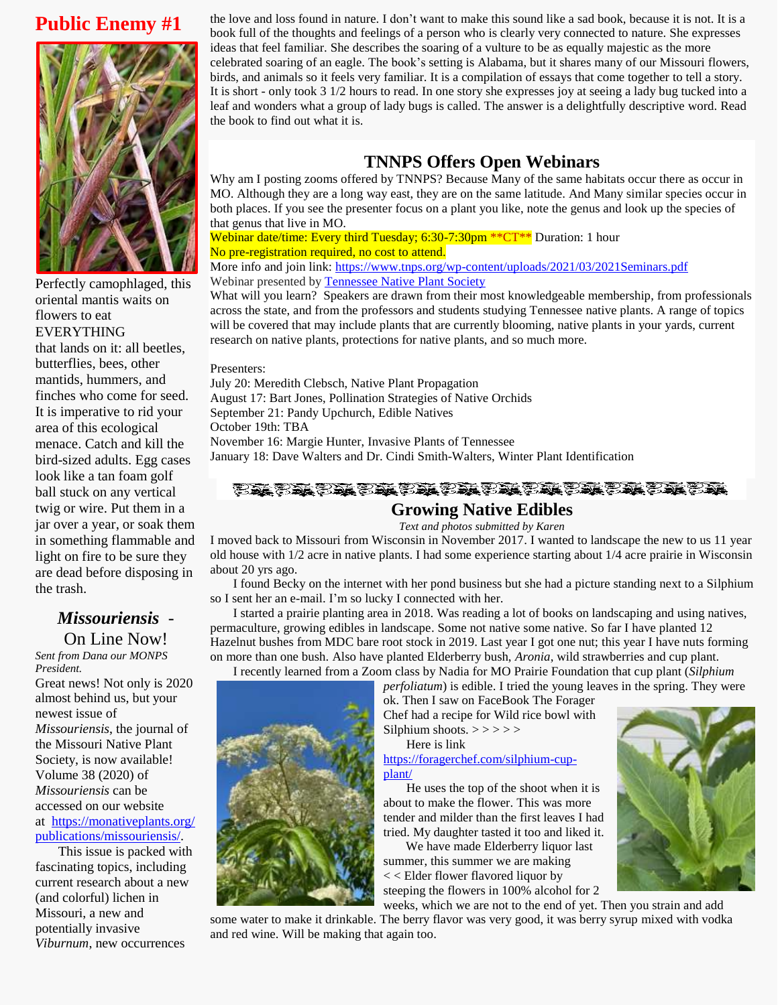## **Public Enemy #1**



Perfectly camophlaged, this oriental mantis waits on flowers to eat EVERYTHING that lands on it: all beetles, butterflies, bees, other mantids, hummers, and finches who come for seed. It is imperative to rid your area of this ecological menace. Catch and kill the bird-sized adults. Egg cases look like a tan foam golf ball stuck on any vertical twig or wire. Put them in a jar over a year, or soak them in something flammable and light on fire to be sure they are dead before disposing in the trash.

## *Missouriensis* -

On Line Now! *Sent from Dana our MONPS President.* Great news! Not only is 2020 almost behind us, but your newest issue of *Missouriensis*, the journal of the Missouri Native Plant Society, is now available! Volume 38 (2020) of *Missouriensis* can be accessed on our website at [https://monativeplants.org/](https://monativeplants.org/publications/missouriensis/) [publications/missouriensis/.](https://monativeplants.org/publications/missouriensis/)

This issue is packed with fascinating topics, including current research about a new (and colorful) lichen in Missouri, a new and potentially invasive *Viburnum*, new occurrences

the love and loss found in nature. I don't want to make this sound like a sad book, because it is not. It is a book full of the thoughts and feelings of a person who is clearly very connected to nature. She expresses ideas that feel familiar. She describes the soaring of a vulture to be as equally majestic as the more celebrated soaring of an eagle. The book's setting is Alabama, but it shares many of our Missouri flowers, birds, and animals so it feels very familiar. It is a compilation of essays that come together to tell a story. It is short - only took 3 1/2 hours to read. In one story she expresses joy at seeing a lady bug tucked into a leaf and wonders what a group of lady bugs is called. The answer is a delightfully descriptive word. Read the book to find out what it is.

## **TNNPS Offers Open Webinars**

Why am I posting zooms offered by TNNPS? Because Many of the same habitats occur there as occur in MO. Although they are a long way east, they are on the same latitude. And Many similar species occur in both places. If you see the presenter focus on a plant you like, note the genus and look up the species of that genus that live in MO.

Webinar date/time: Every third Tuesday; 6:30-7:30pm \*\* CT\*\* Duration: 1 hour No pre-registration required, no cost to attend.

More info and join link:<https://www.tnps.org/wp-content/uploads/2021/03/2021Seminars.pdf> Webinar presented b[y Tennessee Native Plant Society](https://www.tnps.org/)

What will you learn? Speakers are drawn from their most knowledgeable membership, from professionals across the state, and from the professors and students studying Tennessee native plants. A range of topics will be covered that may include plants that are currently blooming, native plants in your yards, current research on native plants, protections for native plants, and so much more.

Presenters:

July 20: Meredith Clebsch, Native Plant Propagation August 17: Bart Jones, Pollination Strategies of Native Orchids September 21: Pandy Upchurch, Edible Natives October 19th: TBA November 16: Margie Hunter, Invasive Plants of Tennessee January 18: Dave Walters and Dr. Cindi Smith-Walters, Winter Plant Identification

## 

## **Growing Native Edibles**

*Text and photos submitted by Karen*

I moved back to Missouri from Wisconsin in November 2017. I wanted to landscape the new to us 11 year old house with 1/2 acre in native plants. I had some experience starting about 1/4 acre prairie in Wisconsin about 20 yrs ago.

I found Becky on the internet with her pond business but she had a picture standing next to a Silphium so I sent her an e-mail. I'm so lucky I connected with her.

I started a prairie planting area in 2018. Was reading a lot of books on landscaping and using natives, permaculture, growing edibles in landscape. Some not native some native. So far I have planted 12 Hazelnut bushes from MDC bare root stock in 2019. Last year I got one nut; this year I have nuts forming on more than one bush. Also have planted Elderberry bush, *Aronia*, wild strawberries and cup plant. I recently learned from a Zoom class by Nadia for MO Prairie Foundation that cup plant (*Silphium* 

*perfoliatum*) is edible. I tried the young leaves in the spring. They were



ok. Then I saw on FaceBook The Forager Chef had a recipe for Wild rice bowl with Silphium shoots.  $>>$ >>>

Here is link [https://foragerchef.com/silphium-cup](https://foragerchef.com/silphium-cup-plant/)[plant/](https://foragerchef.com/silphium-cup-plant/)

He uses the top of the shoot when it is about to make the flower. This was more tender and milder than the first leaves I had tried. My daughter tasted it too and liked it.

 We have made Elderberry liquor last summer, this summer we are making < < Elder flower flavored liquor by steeping the flowers in 100% alcohol for 2

weeks, which we are not to the end of yet. Then you strain and add some water to make it drinkable. The berry flavor was very good, it was berry syrup mixed with vodka and red wine. Will be making that again too.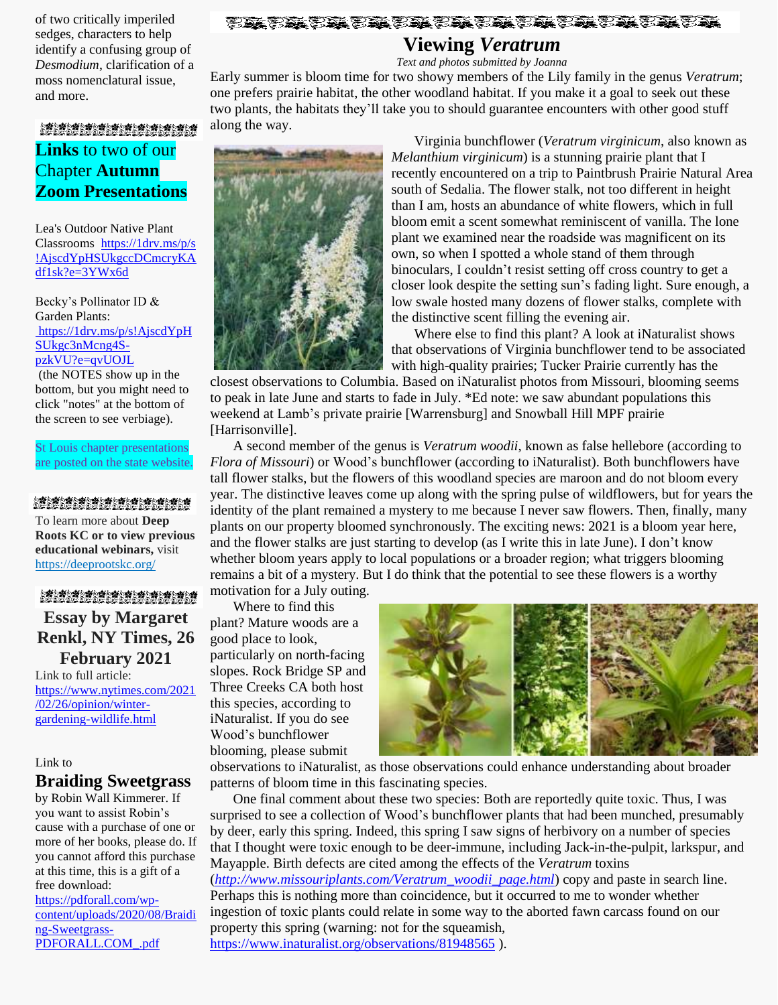of two critically imperiled sedges, characters to help identify a confusing group of *Desmodium*, clarification of a moss nomenclatural issue, and more.

#### 

## **Viewing** *Veratrum*

*Text and photos submitted by Joanna*

Early summer is bloom time for two showy members of the Lily family in the genus *Veratrum*; one prefers prairie habitat, the other woodland habitat. If you make it a goal to seek out these two plants, the habitats they'll take you to should guarantee encounters with other good stuff along the way.

**り楽り楽り楽り楽り楽り楽り楽り楽り楽り楽り楽し楽し<br>の場の場の場の場の場の場の場の場の場の場の場の場** 

## **Links** to two of our Chapter **Autumn Zoom Presentations**

Lea's Outdoor Native Plant Classrooms [https://1drv.ms/p/s](https://1drv.ms/p/s!AjscdYpHSUkgccDCmcryKAdf1sk?e=3YWx6d) [!AjscdYpHSUkgccDCmcryKA](https://1drv.ms/p/s!AjscdYpHSUkgccDCmcryKAdf1sk?e=3YWx6d) [df1sk?e=3YWx6d](https://1drv.ms/p/s!AjscdYpHSUkgccDCmcryKAdf1sk?e=3YWx6d)

Becky's Pollinator ID & Garden Plants: [https://1drv.ms/p/s!AjscdYpH](https://1drv.ms/p/s!AjscdYpHSUkgc3nMcng4S-pzkVU?e=qvUOJL) [SUkgc3nMcng4S](https://1drv.ms/p/s!AjscdYpHSUkgc3nMcng4S-pzkVU?e=qvUOJL)[pzkVU?e=qvUOJL](https://1drv.ms/p/s!AjscdYpHSUkgc3nMcng4S-pzkVU?e=qvUOJL)

(the NOTES show up in the bottom, but you might need to click "notes" at the bottom of the screen to see verbiage).

St Louis chapter presentations are posted on the state website.

### **の蜂の蜂の蜂の蜂の蜂の蜂の蜂の蜂の蜂の蜂の蜂の蜂の蜂**<br>のどのどのどのどのどのどのどのどのどのどのどのど

To learn more about **Deep Roots KC or to view previous educational webinars,** visit [https://deeprootskc.org/](https://lnks.gd/l/eyJhbGciOiJIUzI1NiJ9.eyJidWxsZXRpbl9saW5rX2lkIjoxMDEsInVyaSI6ImJwMjpjbGljayIsImJ1bGxldGluX2lkIjoiMjAyMDA3MjcuMjQ5MDc0NjEiLCJ1cmwiOiJodHRwczovL2RlZXByb290c2tjLm9yZy8ifQ.4lSE_HuwGbHZ6R6__IJb9tFbuN1Ub9BaPSbnN0IE4ng/s/248514939/br/81516578152-l)

#### **の嚢の嚢の嚢の蜂の蜂の蜂の蜂の蜂の蜂の蜂の蜂の蜂の蜂**<br>の髪の髪の髪の髪の髪の髪の髪の髪の髪の髪の髪の髪

**Essay by Margaret Renkl, NY Times, 26 February 2021**

Link to full article: [https://www.nytimes.com/2021](https://www.nytimes.com/2021/02/26/opinion/winter-gardening-wildlife.html) [/02/26/opinion/winter](https://www.nytimes.com/2021/02/26/opinion/winter-gardening-wildlife.html)[gardening-wildlife.html](https://www.nytimes.com/2021/02/26/opinion/winter-gardening-wildlife.html)

#### Link to

#### **Braiding Sweetgrass**

by Robin Wall Kimmerer. If you want to assist Robin's cause with a purchase of one or more of her books, please do. If you cannot afford this purchase at this time, this is a gift of a free download:

[https://pdforall.com/wp](https://pdforall.com/wp-content/uploads/2020/08/Braiding-Sweetgrass-PDFORALL.COM_.pdf)[content/uploads/2020/08/Braidi](https://pdforall.com/wp-content/uploads/2020/08/Braiding-Sweetgrass-PDFORALL.COM_.pdf) [ng-Sweetgrass-](https://pdforall.com/wp-content/uploads/2020/08/Braiding-Sweetgrass-PDFORALL.COM_.pdf)[PDFORALL.COM\\_.pdf](https://pdforall.com/wp-content/uploads/2020/08/Braiding-Sweetgrass-PDFORALL.COM_.pdf)



Virginia bunchflower (*Veratrum virginicum*, also known as *Melanthium virginicum*) is a stunning prairie plant that I recently encountered on a trip to Paintbrush Prairie Natural Area south of Sedalia. The flower stalk, not too different in height than I am, hosts an abundance of white flowers, which in full bloom emit a scent somewhat reminiscent of vanilla. The lone plant we examined near the roadside was magnificent on its own, so when I spotted a whole stand of them through binoculars, I couldn't resist setting off cross country to get a closer look despite the setting sun's fading light. Sure enough, a low swale hosted many dozens of flower stalks, complete with the distinctive scent filling the evening air.

Where else to find this plant? A look at iNaturalist shows that observations of Virginia bunchflower tend to be associated with high-quality prairies; Tucker Prairie currently has the

closest observations to Columbia. Based on iNaturalist photos from Missouri, blooming seems to peak in late June and starts to fade in July. \*Ed note: we saw abundant populations this weekend at Lamb's private prairie [Warrensburg] and Snowball Hill MPF prairie [Harrisonville].

A second member of the genus is *Veratrum woodii*, known as false hellebore (according to *Flora of Missouri*) or Wood's bunchflower (according to iNaturalist). Both bunchflowers have tall flower stalks, but the flowers of this woodland species are maroon and do not bloom every year. The distinctive leaves come up along with the spring pulse of wildflowers, but for years the identity of the plant remained a mystery to me because I never saw flowers. Then, finally, many plants on our property bloomed synchronously. The exciting news: 2021 is a bloom year here, and the flower stalks are just starting to develop (as I write this in late June). I don't know whether bloom years apply to local populations or a broader region; what triggers blooming remains a bit of a mystery. But I do think that the potential to see these flowers is a worthy

motivation for a July outing.

Where to find this plant? Mature woods are a good place to look, particularly on north-facing slopes. Rock Bridge SP and Three Creeks CA both host this species, according to iNaturalist. If you do see Wood's bunchflower blooming, please submit



observations to iNaturalist, as those observations could enhance understanding about broader patterns of bloom time in this fascinating species.

One final comment about these two species: Both are reportedly quite toxic. Thus, I was surprised to see a collection of Wood's bunchflower plants that had been munched, presumably by deer, early this spring. Indeed, this spring I saw signs of herbivory on a number of species that I thought were toxic enough to be deer-immune, including Jack-in-the-pulpit, larkspur, and Mayapple. Birth defects are cited among the effects of the *Veratrum* toxins (*[http://www.missouriplants.com/Veratrum\\_woodii\\_page.html](http://www.missouriplants.com/Veratrum_woodii_page.html)*) copy and paste in search line. Perhaps this is nothing more than coincidence, but it occurred to me to wonder whether ingestion of toxic plants could relate in some way to the aborted fawn carcass found on our property this spring (warning: not for the squeamish, <https://www.inaturalist.org/observations/81948565> ).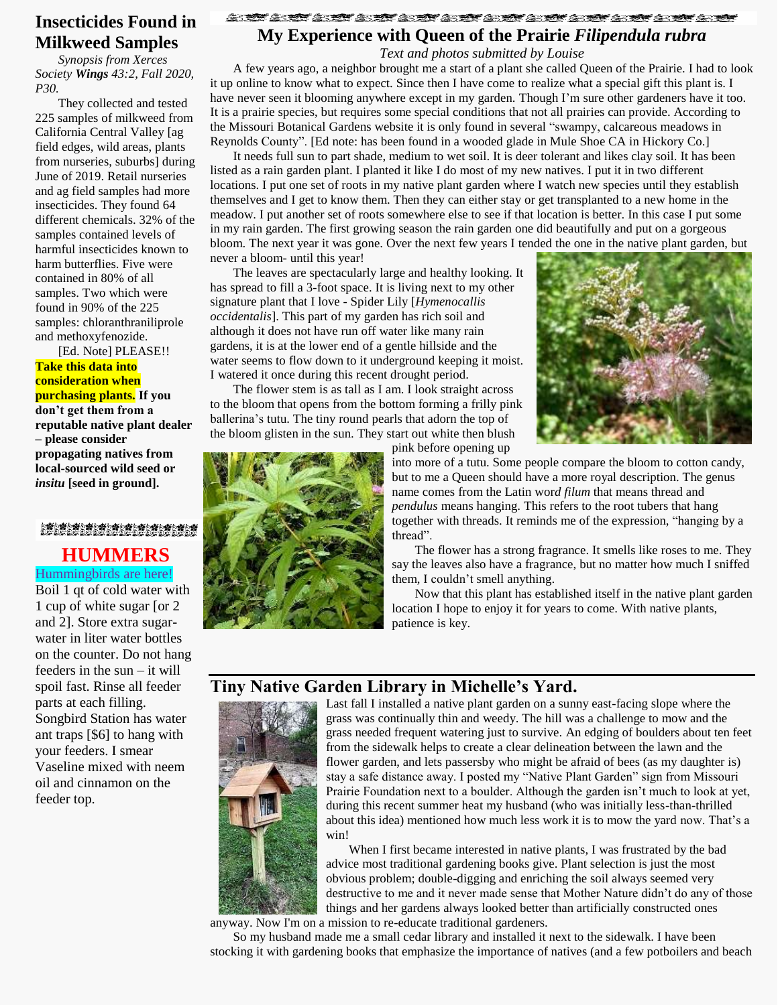## **Insecticides Found in Milkweed Samples**

*Synopsis from Xerces Society Wings 43:2, Fall 2020, P30.*

They collected and tested 225 samples of milkweed from California Central Valley [ag field edges, wild areas, plants from nurseries, suburbs] during June of 2019. Retail nurseries and ag field samples had more insecticides. They found 64 different chemicals. 32% of the samples contained levels of harmful insecticides known to harm butterflies. Five were contained in 80% of all samples. Two which were found in 90% of the 225 samples: chloranthraniliprole and methoxyfenozide.

[Ed. Note] PLEASE!! **Take this data into consideration when purchasing plants. If you don't get them from a reputable native plant dealer – please consider propagating natives from local-sourced wild seed or** *insitu* **[seed in ground].**

**の楽の楽の楽の楽の楽の楽の楽の楽を楽ん楽の楽の楽し楽**<br>のどの姿の姿の姿の姿の姿の姿の姿の姿の姿の姿の姿 **HUMMERS** Hummingbirds are here!

Boil 1 qt of cold water with 1 cup of white sugar [or 2 and 2]. Store extra sugarwater in liter water bottles on the counter. Do not hang feeders in the sun – it will spoil fast. Rinse all feeder parts at each filling. Songbird Station has water ant traps [\$6] to hang with your feeders. I smear Vaseline mixed with neem oil and cinnamon on the feeder top.

## <u>STATE STATE STATE STATE</u> **My Experience with Queen of the Prairie** *Filipendula rubra*

*Text and photos submitted by Louise*

A few years ago, a neighbor brought me a start of a plant she called Queen of the Prairie. I had to look it up online to know what to expect. Since then I have come to realize what a special gift this plant is. I have never seen it blooming anywhere except in my garden. Though I'm sure other gardeners have it too. It is a prairie species, but requires some special conditions that not all prairies can provide. According to the Missouri Botanical Gardens website it is only found in several "swampy, calcareous meadows in Reynolds County". [Ed note: has been found in a wooded glade in Mule Shoe CA in Hickory Co.]

It needs full sun to part shade, medium to wet soil. It is deer tolerant and likes clay soil. It has been listed as a rain garden plant. I planted it like I do most of my new natives. I put it in two different locations. I put one set of roots in my native plant garden where I watch new species until they establish themselves and I get to know them. Then they can either stay or get transplanted to a new home in the meadow. I put another set of roots somewhere else to see if that location is better. In this case I put some in my rain garden. The first growing season the rain garden one did beautifully and put on a gorgeous bloom. The next year it was gone. Over the next few years I tended the one in the native plant garden, but never a bloom- until this year!

The leaves are spectacularly large and healthy looking. It has spread to fill a 3-foot space. It is living next to my other signature plant that I love - Spider Lily [*Hymenocallis occidentalis*]. This part of my garden has rich soil and although it does not have run off water like many rain gardens, it is at the lower end of a gentle hillside and the water seems to flow down to it underground keeping it moist. I watered it once during this recent drought period.

The flower stem is as tall as I am. I look straight across to the bloom that opens from the bottom forming a frilly pink ballerina's tutu. The tiny round pearls that adorn the top of the bloom glisten in the sun. They start out white then blush



pink before opening up

into more of a tutu. Some people compare the bloom to cotton candy, but to me a Queen should have a more royal description. The genus name comes from the Latin wor*d filum* that means thread and *pendulus* means hanging. This refers to the root tubers that hang together with threads. It reminds me of the expression, "hanging by a thread".

The flower has a strong fragrance. It smells like roses to me. They say the leaves also have a fragrance, but no matter how much I sniffed them, I couldn't smell anything.

Now that this plant has established itself in the native plant garden location I hope to enjoy it for years to come. With native plants, patience is key.

## **Tiny Native Garden Library in Michelle's Yard.**



Last fall I installed a native plant garden on a sunny east-facing slope where the grass was continually thin and weedy. The hill was a challenge to mow and the grass needed frequent watering just to survive. An edging of boulders about ten feet from the sidewalk helps to create a clear delineation between the lawn and the flower garden, and lets passersby who might be afraid of bees (as my daughter is) stay a safe distance away. I posted my "Native Plant Garden" sign from Missouri Prairie Foundation next to a boulder. Although the garden isn't much to look at yet, during this recent summer heat my husband (who was initially less-than-thrilled about this idea) mentioned how much less work it is to mow the yard now. That's a win!

When I first became interested in native plants, I was frustrated by the bad advice most traditional gardening books give. Plant selection is just the most obvious problem; double-digging and enriching the soil always seemed very destructive to me and it never made sense that Mother Nature didn't do any of those things and her gardens always looked better than artificially constructed ones anyway. Now I'm on a mission to re-educate traditional gardeners.

So my husband made me a small cedar library and installed it next to the sidewalk. I have been stocking it with gardening books that emphasize the importance of natives (and a few potboilers and beach

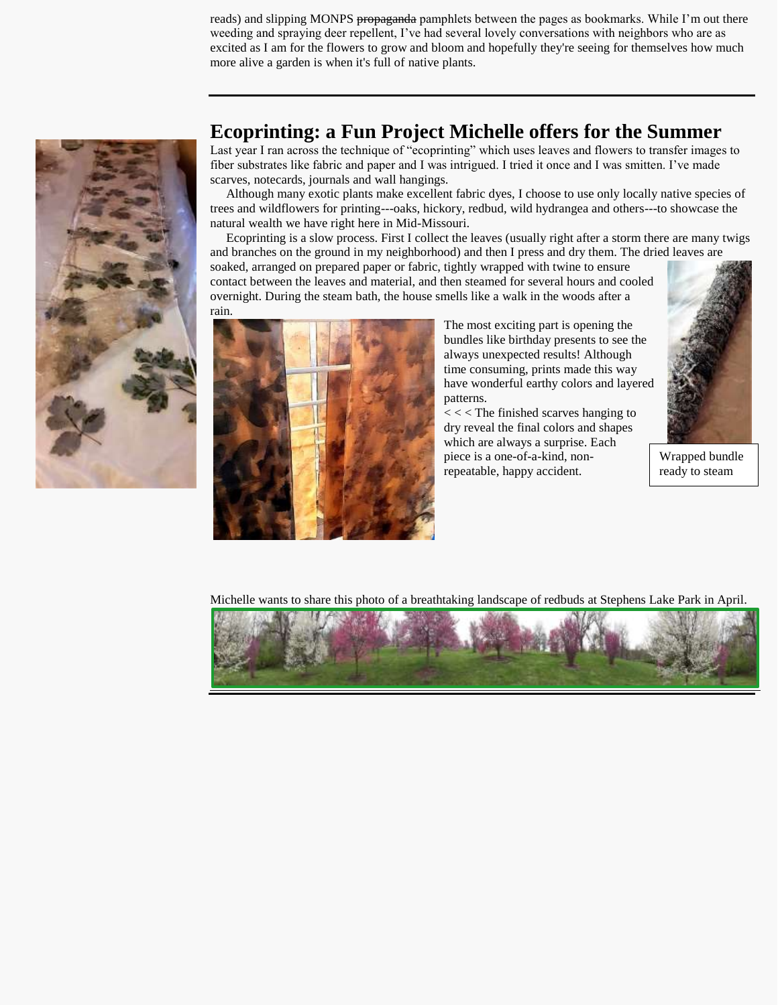reads) and slipping MONPS propaganda pamphlets between the pages as bookmarks. While I'm out there weeding and spraying deer repellent, I've had several lovely conversations with neighbors who are as excited as I am for the flowers to grow and bloom and hopefully they're seeing for themselves how much more alive a garden is when it's full of native plants.



## **Ecoprinting: a Fun Project Michelle offers for the Summer**

Last year I ran across the technique of "ecoprinting" which uses leaves and flowers to transfer images to fiber substrates like fabric and paper and I was intrigued. I tried it once and I was smitten. I've made scarves, notecards, journals and wall hangings.

 Although many exotic plants make excellent fabric dyes, I choose to use only locally native species of trees and wildflowers for printing---oaks, hickory, redbud, wild hydrangea and others---to showcase the natural wealth we have right here in Mid-Missouri.

 Ecoprinting is a slow process. First I collect the leaves (usually right after a storm there are many twigs and branches on the ground in my neighborhood) and then I press and dry them. The dried leaves are

soaked, arranged on prepared paper or fabric, tightly wrapped with twine to ensure contact between the leaves and material, and then steamed for several hours and cooled overnight. During the steam bath, the house smells like a walk in the woods after a



The most exciting part is opening the bundles like birthday presents to see the always unexpected results! Although time consuming, prints made this way have wonderful earthy colors and layered patterns.

< < < The finished scarves hanging to dry reveal the final colors and shapes which are always a surprise. Each piece is a one-of-a-kind, nonrepeatable, happy accident.



Wrapped bundle ready to steam

Michelle wants to share this photo of a breathtaking landscape of redbuds at Stephens Lake Park in April.